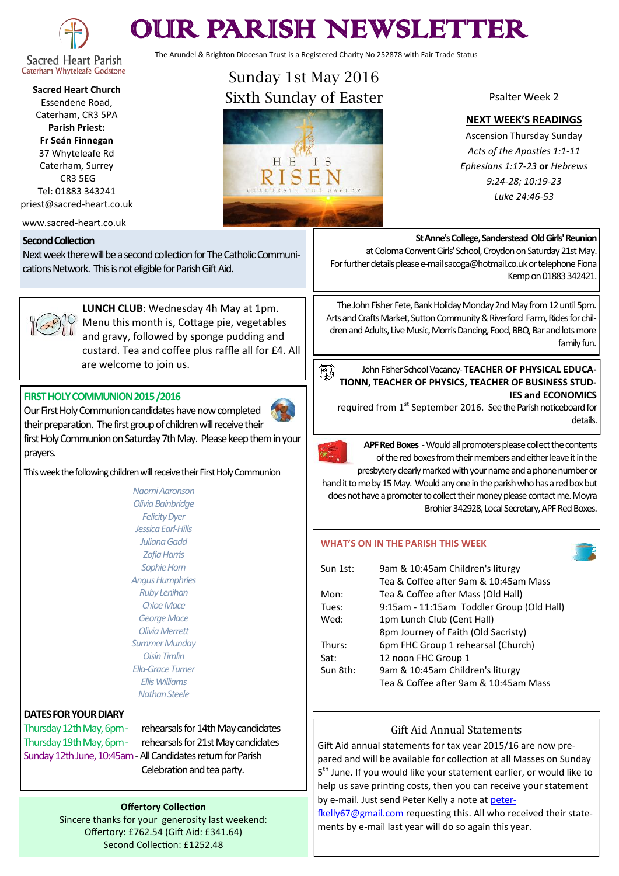

# OUR PARISH NEWSLETTER

The Arundel & Brighton Diocesan Trust is a Registered Charity No 252878 with Fair Trade Status

**Sacred Heart Church** Essendene Road, Caterham, CR3 5PA **Parish Priest: Fr Seán Finnegan** 37 Whyteleafe Rd Caterham, Surrey

CR3 5EG Tel: 01883 343241 priest@sacred-heart.co.uk

www.sacred-heart.co.uk

#### **Second Collection**

Next week there will be a second collection for The Catholic Communications Network. This is not eligible for Parish Gift Aid.



prayers.

**LUNCH CLUB**: Wednesday 4h May at 1pm. Menu this month is, Cottage pie, vegetables and gravy, followed by sponge pudding and custard. Tea and coffee plus raffle all for £4. All are welcome to join us.

#### **FIRST HOLY COMMUNION 2015 /2016**

Our First Holy Communion candidates have now completed their preparation. The first group of children will receive their first Holy Communion on Saturday 7th May. Please keep them in your



*Naomi Aaronson Olivia Bainbridge Felicity Dyer Jessica Earl-Hills Juliana Gadd Zofia Harris Sophie Horn Angus Humphries Ruby Lenihan Chloe Mace George Mace Olivia Merrett Summer Munday Oisín Timlin Ella-Grace Turner Ellis Williams Nathan Steele*

### **DATES FOR YOUR DIARY**

Thursday 12th May, 6pm - rehearsals for 14th May candidates

Thursday 19th May, 6pm - rehearsals for 21st May candidates Sunday 12th June, 10:45am -All Candidates return for Parish Celebration and tea party.

#### **Offertory Collection**

Sincere thanks for your generosity last weekend: Offertory: £762.54 (Gift Aid: £341.64) Second Collection: £1252.48



CELEBRATE THE

Psalter Week 2

#### **NEXT WEEK'S READINGS**

Ascension Thursday Sunday *Acts of the Apostles 1:1-11 Ephesians 1:17-23* **or** *Hebrews 9:24-28; 10:19-23 Luke 24:46-53*

#### **St Anne's College, Sanderstead Old Girls' Reunion**

at Coloma Convent Girls' School, Croydon on Saturday 21st May. For further details please e-mail sacoga@hotmail.co.uk or telephone Fiona Kemp on 01883 342421.

The John Fisher Fete, Bank Holiday Monday 2nd May from 12 until 5pm. Arts and Crafts Market, Sutton Community & Riverford Farm, Rides for children and Adults, Live Music, Morris Dancing, Food, BBQ, Bar and lots more family fun.

#### John Fisher School Vacancy-**TEACHER OF PHYSICAL EDUCA-**61 **TIONN, TEACHER OF PHYSICS, TEACHER OF BUSINESS STUD-IES and ECONOMICS**

required from 1<sup>st</sup> September 2016. See the Parish noticeboard for details.



**APF Red Boxes** -Would all promoters please collect the contents of the red boxes from their members and either leave it in the

presbytery clearly marked with your name and a phone number or hand it to me by 15 May. Would any one in the parish who has a red box but does not have a promoter to collect their money please contact me. Moyra Brohier 342928, Local Secretary, APF Red Boxes.

#### **WHAT'S ON IN THE PARISH THIS WEEK**

| Sun 1st: | 9am & 10:45am Children's liturgy          |
|----------|-------------------------------------------|
|          | Tea & Coffee after 9am & 10:45am Mass     |
| Mon:     | Tea & Coffee after Mass (Old Hall)        |
| Tues:    | 9:15am - 11:15am Toddler Group (Old Hall) |
| Wed:     | 1pm Lunch Club (Cent Hall)                |
|          | 8pm Journey of Faith (Old Sacristy)       |
| Thurs:   | 6pm FHC Group 1 rehearsal (Church)        |
| Sat:     | 12 noon FHC Group 1                       |
| Sun 8th: | 9am & 10:45am Children's liturgy          |
|          | Tea & Coffee after 9am & 10:45am Mass     |

### Gift Aid Annual Statements

Gift Aid annual statements for tax year 2015/16 are now prepared and will be available for collection at all Masses on Sunday 5<sup>th</sup> June. If you would like your statement earlier, or would like to help us save printing costs, then you can receive your statement by e-mail. Just send Peter Kelly a note at [peter-](mailto:peterfkelly67@gmail.com)

[fkelly67@gmail.com](mailto:peterfkelly67@gmail.com) requesting this. All who received their statements by e-mail last year will do so again this year.